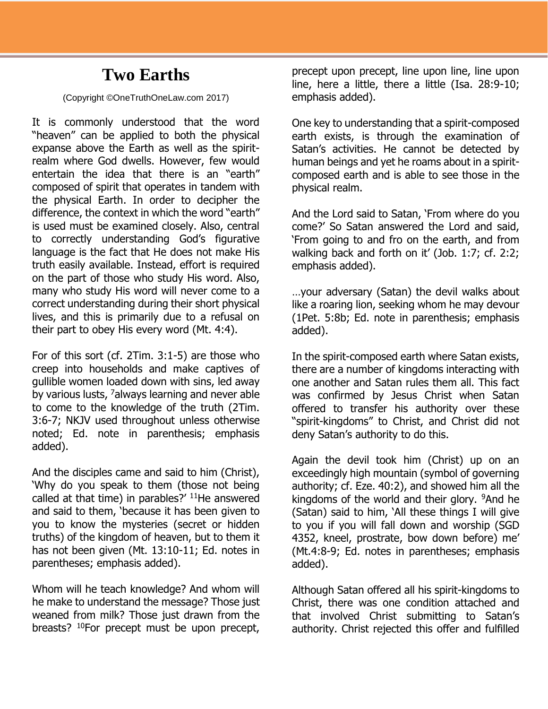## **Two Earths**

## (Copyright ©OneTruthOneLaw.com 2017)

It is commonly understood that the word "heaven" can be applied to both the physical expanse above the Earth as well as the spiritrealm where God dwells. However, few would entertain the idea that there is an "earth" composed of spirit that operates in tandem with the physical Earth. In order to decipher the difference, the context in which the word "earth" is used must be examined closely. Also, central to correctly understanding God's figurative language is the fact that He does not make His truth easily available. Instead, effort is required on the part of those who study His word. Also, many who study His word will never come to a correct understanding during their short physical lives, and this is primarily due to a refusal on their part to obey His every word (Mt. 4:4).

For of this sort (cf. 2Tim. 3:1-5) are those who creep into households and make captives of gullible women loaded down with sins, led away by various lusts, <sup>7</sup>always learning and never able to come to the knowledge of the truth (2Tim. 3:6-7; NKJV used throughout unless otherwise noted; Ed. note in parenthesis; emphasis added).

And the disciples came and said to him (Christ), 'Why do you speak to them (those not being called at that time) in parables?'  $11$ He answered and said to them, 'because it has been given to you to know the mysteries (secret or hidden truths) of the kingdom of heaven, but to them it has not been given (Mt. 13:10-11; Ed. notes in parentheses; emphasis added).

Whom will he teach knowledge? And whom will he make to understand the message? Those just weaned from milk? Those just drawn from the breasts? <sup>10</sup>For precept must be upon precept,

precept upon precept, line upon line, line upon line, here a little, there a little (Isa. 28:9-10; emphasis added).

One key to understanding that a spirit-composed earth exists, is through the examination of Satan's activities. He cannot be detected by human beings and yet he roams about in a spiritcomposed earth and is able to see those in the physical realm.

And the Lord said to Satan, 'From where do you come?' So Satan answered the Lord and said, 'From going to and fro on the earth, and from walking back and forth on it' (Job. 1:7; cf. 2:2; emphasis added).

…your adversary (Satan) the devil walks about like a roaring lion, seeking whom he may devour (1Pet. 5:8b; Ed. note in parenthesis; emphasis added).

In the spirit-composed earth where Satan exists, there are a number of kingdoms interacting with one another and Satan rules them all. This fact was confirmed by Jesus Christ when Satan offered to transfer his authority over these "spirit-kingdoms" to Christ, and Christ did not deny Satan's authority to do this.

Again the devil took him (Christ) up on an exceedingly high mountain (symbol of governing authority; cf. Eze. 40:2), and showed him all the kingdoms of the world and their glory. <sup>9</sup>And he (Satan) said to him, 'All these things I will give to you if you will fall down and worship (SGD 4352, kneel, prostrate, bow down before) me' (Mt.4:8-9; Ed. notes in parentheses; emphasis added).

Although Satan offered all his spirit-kingdoms to Christ, there was one condition attached and that involved Christ submitting to Satan's authority. Christ rejected this offer and fulfilled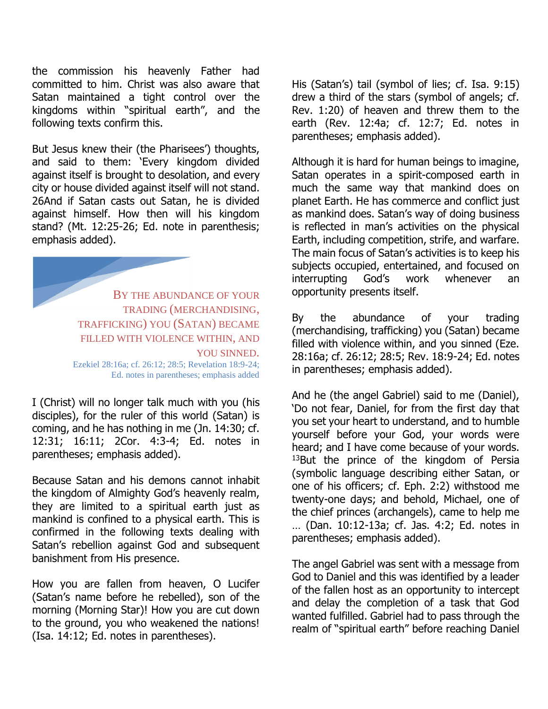the commission his heavenly Father had committed to him. Christ was also aware that Satan maintained a tight control over the kingdoms within "spiritual earth", and the following texts confirm this.

But Jesus knew their (the Pharisees') thoughts, and said to them: 'Every kingdom divided against itself is brought to desolation, and every city or house divided against itself will not stand. 26And if Satan casts out Satan, he is divided against himself. How then will his kingdom stand? (Mt. 12:25-26; Ed. note in parenthesis; emphasis added).

BY THE ABUNDANCE OF YOUR TRADING (MERCHANDISING, TRAFFICKING) YOU (SATAN) BECAME FILLED WITH VIOLENCE WITHIN, AND YOU SINNED. Ezekiel 28:16a; cf. 26:12; 28:5; Revelation 18:9-24; Ed. notes in parentheses; emphasis added

I (Christ) will no longer talk much with you (his disciples), for the ruler of this world (Satan) is coming, and he has nothing in me (Jn. 14:30; cf. 12:31; 16:11; 2Cor. 4:3-4; Ed. notes in parentheses; emphasis added).

Because Satan and his demons cannot inhabit the kingdom of Almighty God's heavenly realm, they are limited to a spiritual earth just as mankind is confined to a physical earth. This is confirmed in the following texts dealing with Satan's rebellion against God and subsequent banishment from His presence.

How you are fallen from heaven, O Lucifer (Satan's name before he rebelled), son of the morning (Morning Star)! How you are cut down to the ground, you who weakened the nations! (Isa. 14:12; Ed. notes in parentheses).

His (Satan's) tail (symbol of lies; cf. Isa. 9:15) drew a third of the stars (symbol of angels; cf. Rev. 1:20) of heaven and threw them to the earth (Rev. 12:4a; cf. 12:7; Ed. notes in parentheses; emphasis added).

Although it is hard for human beings to imagine, Satan operates in a spirit-composed earth in much the same way that mankind does on planet Earth. He has commerce and conflict just as mankind does. Satan's way of doing business is reflected in man's activities on the physical Earth, including competition, strife, and warfare. The main focus of Satan's activities is to keep his subjects occupied, entertained, and focused on interrupting God's work whenever an opportunity presents itself.

By the abundance of your trading (merchandising, trafficking) you (Satan) became filled with violence within, and you sinned (Eze. 28:16a; cf. 26:12; 28:5; Rev. 18:9-24; Ed. notes in parentheses; emphasis added).

And he (the angel Gabriel) said to me (Daniel), 'Do not fear, Daniel, for from the first day that you set your heart to understand, and to humble yourself before your God, your words were heard; and I have come because of your words.  $13$ But the prince of the kingdom of Persia (symbolic language describing either Satan, or one of his officers; cf. Eph. 2:2) withstood me twenty-one days; and behold, Michael, one of the chief princes (archangels), came to help me … (Dan. 10:12-13a; cf. Jas. 4:2; Ed. notes in parentheses; emphasis added).

The angel Gabriel was sent with a message from God to Daniel and this was identified by a leader of the fallen host as an opportunity to intercept and delay the completion of a task that God wanted fulfilled. Gabriel had to pass through the realm of "spiritual earth" before reaching Daniel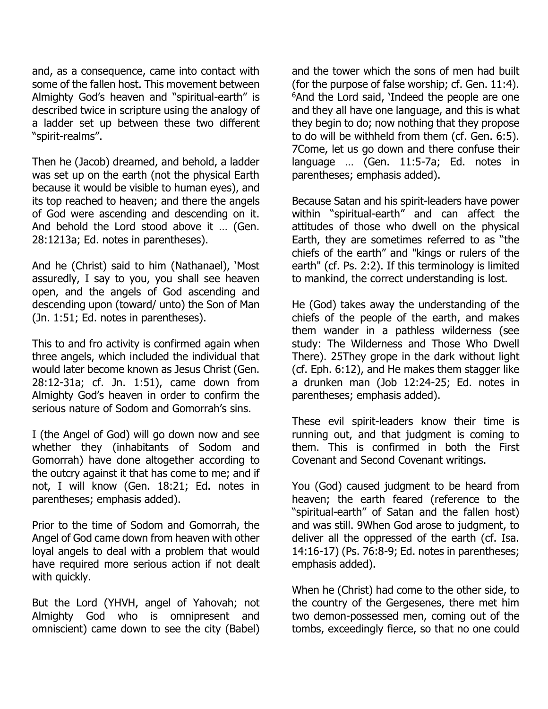and, as a consequence, came into contact with some of the fallen host. This movement between Almighty God's heaven and "spiritual-earth" is described twice in scripture using the analogy of a ladder set up between these two different "spirit-realms".

Then he (Jacob) dreamed, and behold, a ladder was set up on the earth (not the physical Earth because it would be visible to human eyes), and its top reached to heaven; and there the angels of God were ascending and descending on it. And behold the Lord stood above it … (Gen. 28:1213a; Ed. notes in parentheses).

And he (Christ) said to him (Nathanael), 'Most assuredly, I say to you, you shall see heaven open, and the angels of God ascending and descending upon (toward/ unto) the Son of Man (Jn. 1:51; Ed. notes in parentheses).

This to and fro activity is confirmed again when three angels, which included the individual that would later become known as Jesus Christ (Gen. 28:12-31a; cf. Jn. 1:51), came down from Almighty God's heaven in order to confirm the serious nature of Sodom and Gomorrah's sins.

I (the Angel of God) will go down now and see whether they (inhabitants of Sodom and Gomorrah) have done altogether according to the outcry against it that has come to me; and if not, I will know (Gen. 18:21; Ed. notes in parentheses; emphasis added).

Prior to the time of Sodom and Gomorrah, the Angel of God came down from heaven with other loyal angels to deal with a problem that would have required more serious action if not dealt with quickly.

But the Lord (YHVH, angel of Yahovah; not Almighty God who is omnipresent and omniscient) came down to see the city (Babel)

and the tower which the sons of men had built (for the purpose of false worship; cf. Gen. 11:4). <sup>6</sup>And the Lord said, 'Indeed the people are one and they all have one language, and this is what they begin to do; now nothing that they propose to do will be withheld from them (cf. Gen. 6:5). 7Come, let us go down and there confuse their language … (Gen. 11:5-7a; Ed. notes in parentheses; emphasis added).

Because Satan and his spirit-leaders have power within "spiritual-earth" and can affect the attitudes of those who dwell on the physical Earth, they are sometimes referred to as "the chiefs of the earth" and "kings or rulers of the earth" (cf. Ps. 2:2). If this terminology is limited to mankind, the correct understanding is lost.

He (God) takes away the understanding of the chiefs of the people of the earth, and makes them wander in a pathless wilderness (see study: The Wilderness and Those Who Dwell There). 25They grope in the dark without light (cf. Eph. 6:12), and He makes them stagger like a drunken man (Job 12:24-25; Ed. notes in parentheses; emphasis added).

These evil spirit-leaders know their time is running out, and that judgment is coming to them. This is confirmed in both the First Covenant and Second Covenant writings.

You (God) caused judgment to be heard from heaven; the earth feared (reference to the "spiritual-earth" of Satan and the fallen host) and was still. 9When God arose to judgment, to deliver all the oppressed of the earth (cf. Isa. 14:16-17) (Ps. 76:8-9; Ed. notes in parentheses; emphasis added).

When he (Christ) had come to the other side, to the country of the Gergesenes, there met him two demon-possessed men, coming out of the tombs, exceedingly fierce, so that no one could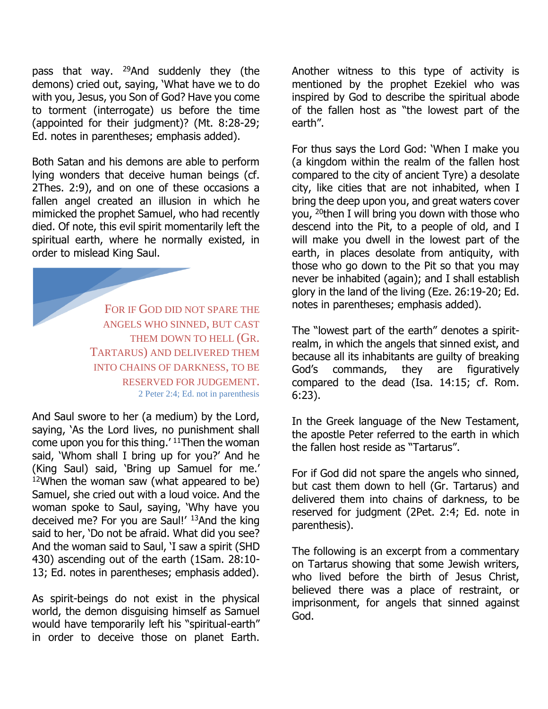pass that way. <sup>29</sup>And suddenly they (the demons) cried out, saying, 'What have we to do with you, Jesus, you Son of God? Have you come to torment (interrogate) us before the time (appointed for their judgment)? (Mt. 8:28-29; Ed. notes in parentheses; emphasis added).

Both Satan and his demons are able to perform lying wonders that deceive human beings (cf. 2Thes. 2:9), and on one of these occasions a fallen angel created an illusion in which he mimicked the prophet Samuel, who had recently died. Of note, this evil spirit momentarily left the spiritual earth, where he normally existed, in order to mislead King Saul.

> FOR IF GOD DID NOT SPARE THE ANGELS WHO SINNED, BUT CAST THEM DOWN TO HELL (GR. TARTARUS) AND DELIVERED THEM INTO CHAINS OF DARKNESS, TO BE RESERVED FOR JUDGEMENT. 2 Peter 2:4; Ed. not in parenthesis

And Saul swore to her (a medium) by the Lord, saying, 'As the Lord lives, no punishment shall come upon you for this thing.' <sup>11</sup>Then the woman said, 'Whom shall I bring up for you?' And he (King Saul) said, 'Bring up Samuel for me.'  $12$ When the woman saw (what appeared to be) Samuel, she cried out with a loud voice. And the woman spoke to Saul, saying, 'Why have you deceived me? For you are Saul!' 13And the king said to her, 'Do not be afraid. What did you see? And the woman said to Saul, 'I saw a spirit (SHD 430) ascending out of the earth (1Sam. 28:10- 13; Ed. notes in parentheses; emphasis added).

As spirit-beings do not exist in the physical world, the demon disguising himself as Samuel would have temporarily left his "spiritual-earth" in order to deceive those on planet Earth.

Another witness to this type of activity is mentioned by the prophet Ezekiel who was inspired by God to describe the spiritual abode of the fallen host as "the lowest part of the earth".

For thus says the Lord God: 'When I make you (a kingdom within the realm of the fallen host compared to the city of ancient Tyre) a desolate city, like cities that are not inhabited, when I bring the deep upon you, and great waters cover you, <sup>20</sup>then I will bring you down with those who descend into the Pit, to a people of old, and I will make you dwell in the lowest part of the earth, in places desolate from antiquity, with those who go down to the Pit so that you may never be inhabited (again); and I shall establish glory in the land of the living (Eze. 26:19-20; Ed. notes in parentheses; emphasis added).

The "lowest part of the earth" denotes a spiritrealm, in which the angels that sinned exist, and because all its inhabitants are guilty of breaking God's commands, they are figuratively compared to the dead (Isa. 14:15; cf. Rom. 6:23).

In the Greek language of the New Testament, the apostle Peter referred to the earth in which the fallen host reside as "Tartarus".

For if God did not spare the angels who sinned, but cast them down to hell (Gr. Tartarus) and delivered them into chains of darkness, to be reserved for judgment (2Pet. 2:4; Ed. note in parenthesis).

The following is an excerpt from a commentary on Tartarus showing that some Jewish writers, who lived before the birth of Jesus Christ, believed there was a place of restraint, or imprisonment, for angels that sinned against God.